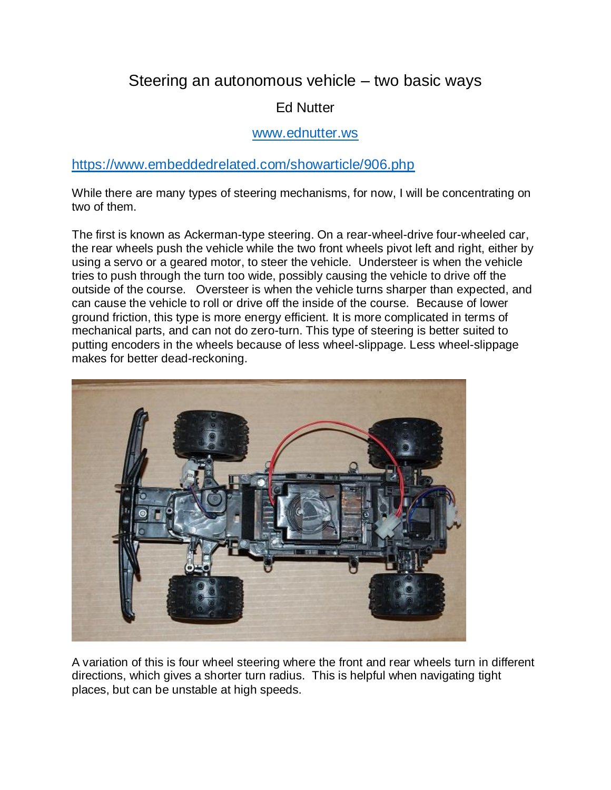## Steering an autonomous vehicle – two basic ways

## Ed Nutter

## [www.ednutter.ws](http://www.ednutter.ws/)

<https://www.embeddedrelated.com/showarticle/906.php>

While there are many types of steering mechanisms, for now, I will be concentrating on two of them.

The first is known as Ackerman-type steering. On a rear-wheel-drive four-wheeled car, the rear wheels push the vehicle while the two front wheels pivot left and right, either by using a servo or a geared motor, to steer the vehicle. Understeer is when the vehicle tries to push through the turn too wide, possibly causing the vehicle to drive off the outside of the course. Oversteer is when the vehicle turns sharper than expected, and can cause the vehicle to roll or drive off the inside of the course. Because of lower ground friction, this type is more energy efficient. It is more complicated in terms of mechanical parts, and can not do zero-turn. This type of steering is better suited to putting encoders in the wheels because of less wheel-slippage. Less wheel-slippage makes for better dead-reckoning.



A variation of this is four wheel steering where the front and rear wheels turn in different directions, which gives a shorter turn radius. This is helpful when navigating tight places, but can be unstable at high speeds.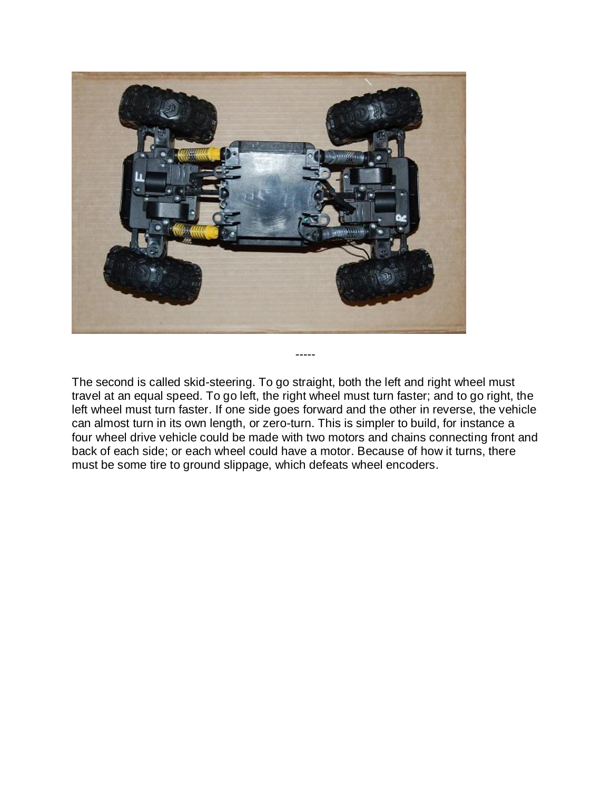

The second is called skid-steering. To go straight, both the left and right wheel must travel at an equal speed. To go left, the right wheel must turn faster; and to go right, the left wheel must turn faster. If one side goes forward and the other in reverse, the vehicle can almost turn in its own length, or zero-turn. This is simpler to build, for instance a four wheel drive vehicle could be made with two motors and chains connecting front and back of each side; or each wheel could have a motor. Because of how it turns, there must be some tire to ground slippage, which defeats wheel encoders.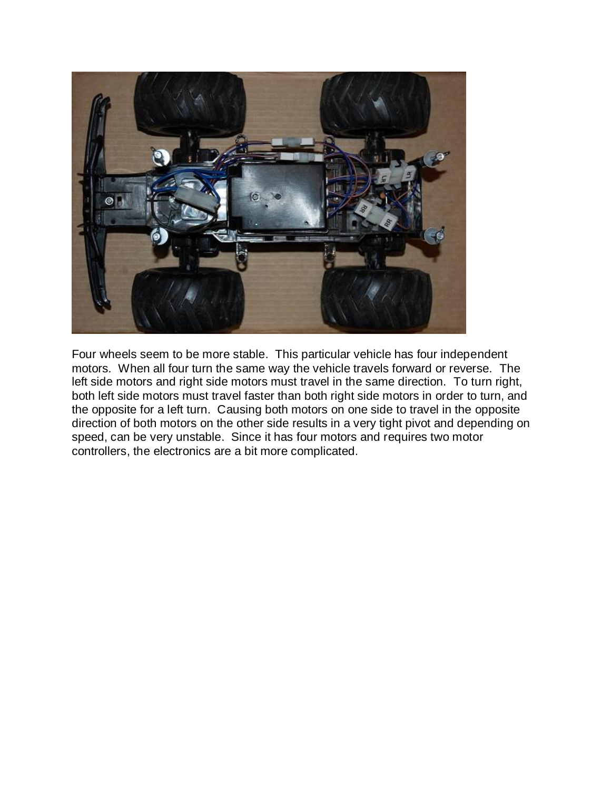

Four wheels seem to be more stable. This particular vehicle has four independent motors. When all four turn the same way the vehicle travels forward or reverse. The left side motors and right side motors must travel in the same direction. To turn right, both left side motors must travel faster than both right side motors in order to turn, and the opposite for a left turn. Causing both motors on one side to travel in the opposite direction of both motors on the other side results in a very tight pivot and depending on speed, can be very unstable. Since it has four motors and requires two motor controllers, the electronics are a bit more complicated.